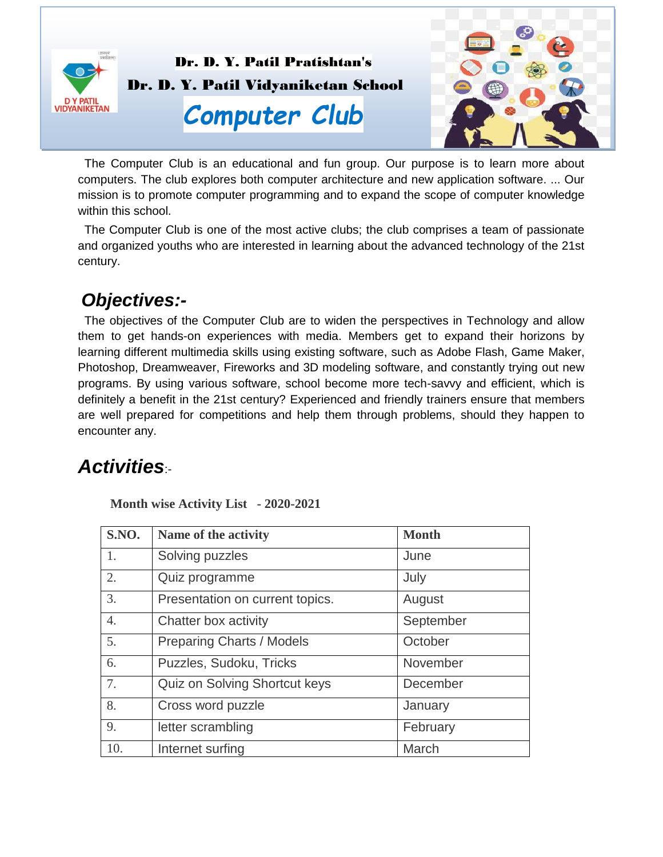

Dr. D. Y. Patil Pratishtan's Dr. D. Y. Patil Vidyaniketan School

# *Computer Club*



 The Computer Club is an educational and fun group. Our purpose is to learn more about computers. The club explores both computer architecture and new application software. ... Our mission is to promote computer programming and to expand the scope of computer knowledge within this school.

 The Computer Club is one of the most active clubs; the club comprises a team of passionate and organized youths who are interested in learning about the advanced technology of the 21st century.

#### *Objectives:-*

 The objectives of the Computer Club are to widen the perspectives in Technology and allow them to get hands-on experiences with media. Members get to expand their horizons by learning different multimedia skills using existing software, such as Adobe Flash, Game Maker, Photoshop, Dreamweaver, Fireworks and 3D modeling software, and constantly trying out new programs. By using various software, school become more tech-savvy and efficient, which is definitely a benefit in the 21st century? Experienced and friendly trainers ensure that members are well prepared for competitions and help them through problems, should they happen to encounter any.

## *Activities*:-

 **Month wise Activity List - 2020-2021**

| S.NO.            | Name of the activity             | <b>Month</b> |
|------------------|----------------------------------|--------------|
| 1.               | Solving puzzles                  | June         |
| 2.               | Quiz programme                   | July         |
| 3.               | Presentation on current topics.  | August       |
| $\overline{4}$ . | Chatter box activity             | September    |
| 5.               | <b>Preparing Charts / Models</b> | October      |
| 6.               | Puzzles, Sudoku, Tricks          | November     |
| 7.               | Quiz on Solving Shortcut keys    | December     |
| 8.               | Cross word puzzle                | January      |
| 9.               | letter scrambling                | February     |
| 10.              | Internet surfing                 | March        |